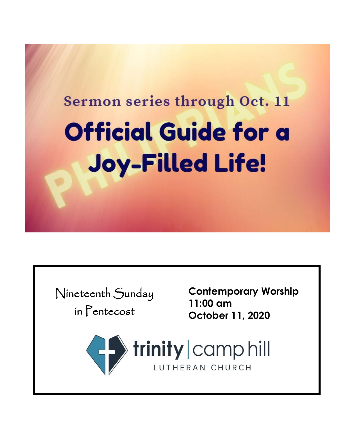# Sermon series through Oct. 11 **Official Guide for a Joy-Filled Life!**

Nineteenth Sunday in Pentecost

**Contemporary Worship 11:00 am October 11, 2020**

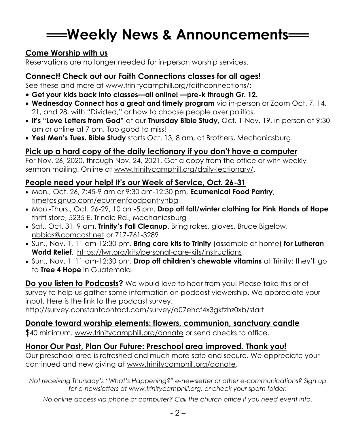## **══Weekly News & Announcements══**

#### **Come Worship with us**

Reservations are no longer needed for in-person worship services.

#### **Connect! Check out our Faith Connections classes for all ages!**

See these and more at [www.trinitycamphill.org/faithconnections/:](http://www.trinitycamphill.org/faithconnections/)

- **Get your kids back into classes—all online! —pre-k through Gr. 12.**
- **Wednesday Connect has a great and timely program** via in-person or Zoom Oct. 7, 14, 21, and 28, with "Divided," or how to choose people over politics.
- **It's "Love Letters from God"** at our **Thursday Bible Study,** Oct. 1-Nov. 19, in person at 9:30 am or online at 7 pm. Too good to miss!
- **Yes! Men's Tues. Bible Study** starts Oct. 13, 8 am, at Brothers, Mechanicsburg.

#### **Pick up a hard copy of the daily lectionary if you don't have a computer**

For Nov. 26, 2020, through Nov. 24, 2021. Get a copy from the office or with weekly sermon mailing. Online at [www.trinitycamphill.org/daily-lectionary/.](http://www.trinitycamphill.org/daily-lectionary/)

#### **People need your help! It's our Week of Service, Oct. 26-31**

- Mon., Oct. 26, 7:45-9 am or 9:30 am-12:30 pm, **Ecumenical Food Pantry**, [timetosignup.com/ecumenfoodpantryhbg](http://www.timetosignup.com/ecumenfoodpantryhbg)
- Mon.-Thurs., Oct. 26-29, 10 am-5 pm. **Drop off fall/winter clothing for Pink Hands of Hope** thrift store, 5235 E. Trindle Rd., Mechanicsburg
- Sat., Oct. 31, 9 am. **Trinity's Fall Cleanup**. Bring rakes, gloves. Bruce Bigelow, [nbbigs@comcast.net](mailto:nbbigs@comcast.net) or 717-761-3289
- Sun., Nov. 1, 11 am-12:30 pm. **Bring care kits to Trinity** (assemble at home) **for Lutheran World Relief**.<https://lwr.org/kits/personal-care-kits/instructions>
- Sun., Nov. 1, 11 am-12:30 pm. **Drop off children's chewable vitamins** at Trinity; they'll go to **Tree 4 Hope** in Guatemala.

**Do you listen to Podcasts?** We would love to hear from you! Please take this brief survey to help us gather some information on podcast viewership. We appreciate your input. Here is the link to the podcast survey.

http://survey.constantcontact.com/survey/a07ehcf4x3gkfzhz0xb/start

#### **Donate toward worship elements: flowers, communion, sanctuary candle**

\$40 minimum. [www.trinitycamphill.org/donate](http://www.trinitycamphill.org/donate) or send checks to office.

#### **Honor Our Past, Plan Our Future: Preschool area improved. Thank you!**

Our preschool area is refreshed and much more safe and secure. We appreciate your continued and new giving at [www.trinitycamphill.org/donate.](http://www.trinitycamphill.org/donate)

*Not receiving Thursday's "What's Happening?" e-newsletter or other e-communications? Sign up for e-newsletters at [www.trinitycamphill.org,](http://www.trinitycamphill.org/) or check your spam folder.*

*No online access via phone or computer? Call the church office if you need event info.*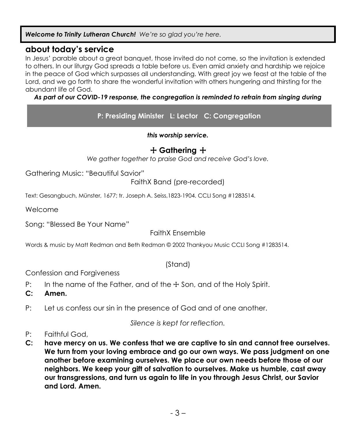*Welcome to Trinity Lutheran Church! We're so glad you're here.* 

#### **about today's service**

In Jesus' parable about a great banquet, those invited do not come, so the invitation is extended to others. In our liturgy God spreads a table before us. Even amid anxiety and hardship we rejoice in the peace of God which surpasses all understanding. With great joy we feast at the table of the Lord, and we go forth to share the wonderful invitation with others hungering and thirsting for the abundant life of God.

#### *As part of our COVID-19 response, the congregation is reminded to refrain from singing during*

**P: Presiding Minister L: Lector C: Congregation**

*this worship service.*

#### + **Gathering** +

*We gather together to praise God and receive God's love.*

Gathering Music: "Beautiful Savior"

FaithX Band (pre-recorded)

Text: Gesangbuch, Münster, 1677; tr. Joseph A. Seiss,1823-1904. CCLI Song #1283514.

Welcome

Song: "Blessed Be Your Name"

FaithX Ensemble

Words & music by Matt Redman and Beth Redman © 2002 Thankyou Music CCLI Song #1283514.

(Stand)

Confession and Forgiveness

P: In the name of the Father, and of the ☩ Son, and of the Holy Spirit.

**C: Amen.**

P: Let us confess our sin in the presence of God and of one another.

*Silence is kept for reflection.*

- P: Faithful God,
- **C: have mercy on us. We confess that we are captive to sin and cannot free ourselves. We turn from your loving embrace and go our own ways. We pass judgment on one another before examining ourselves. We place our own needs before those of our neighbors. We keep your gift of salvation to ourselves. Make us humble, cast away our transgressions, and turn us again to life in you through Jesus Christ, our Savior and Lord. Amen.**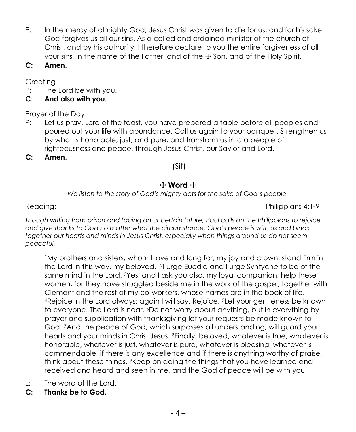- P: In the mercy of almighty God, Jesus Christ was given to die for us, and for his sake God forgives us all our sins. As a called and ordained minister of the church of Christ, and by his authority, I therefore declare to you the entire forgiveness of all your sins, in the name of the Father, and of the  $\pm$  Son, and of the Holy Spirit.
- **C: Amen.**

Greeting

P: The Lord be with you.

#### **C: And also with you.**

Prayer of the Day

- P: Let us pray. Lord of the feast, you have prepared a table before all peoples and poured out your life with abundance. Call us again to your banquet. Strengthen us by what is honorable, just, and pure, and transform us into a people of righteousness and peace, through Jesus Christ, our Savior and Lord.
- **C: Amen.**

#### (Sit)

#### + **Word** +

*We listen to the story of God's mighty acts for the sake of God's people.*

Reading: Philippians 4:1-9

*Though writing from prison and facing an uncertain future, Paul calls on the Philippians to rejoice and give thanks to God no matter what the circumstance. God's peace is with us and binds together our hearts and minds in Jesus Christ, especially when things around us do not seem peaceful.*

<sup>1</sup>My brothers and sisters, whom I love and long for, my joy and crown, stand firm in the Lord in this way, my beloved. <sup>2</sup>I urge Euodia and I urge Syntyche to be of the same mind in the Lord. <sup>3</sup>Yes, and I ask you also, my loyal companion, help these women, for they have struggled beside me in the work of the gospel, together with Clement and the rest of my co-workers, whose names are in the book of life. <sup>4</sup>Rejoice in the Lord always; again I will say, Rejoice. <sup>5</sup>Let your gentleness be known to everyone. The Lord is near. <sup>6</sup>Do not worry about anything, but in everything by prayer and supplication with thanksgiving let your requests be made known to God. <sup>7</sup>And the peace of God, which surpasses all understanding, will guard your hearts and your minds in Christ Jesus. <sup>8</sup>Finally, beloved, whatever is true, whatever is honorable, whatever is just, whatever is pure, whatever is pleasing, whatever is commendable, if there is any excellence and if there is anything worthy of praise, think about these things. <sup>9</sup>Keep on doing the things that you have learned and received and heard and seen in me, and the God of peace will be with you.

- L: The word of the Lord.
- **C: Thanks be to God.**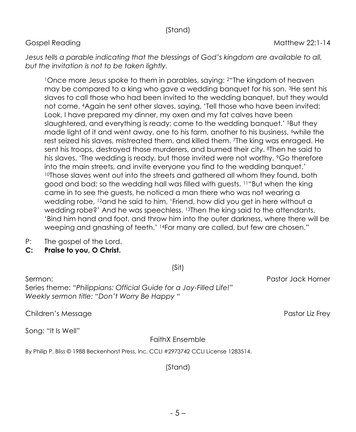#### (Stand)

Jesus tells a parable indicating that the blessings of God's kingdom are available to all, *but the invitation is not to be taken lightly.*

<sup>1</sup>Once more Jesus spoke to them in parables, saying: <sup>2</sup>"The kingdom of heaven may be compared to a king who gave a wedding banquet for his son. <sup>3</sup>He sent his slaves to call those who had been invited to the wedding banquet, but they would not come. <sup>4</sup>Again he sent other slaves, saying, 'Tell those who have been invited: Look, I have prepared my dinner, my oxen and my fat calves have been slaughtered, and everything is ready; come to the wedding banquet.' <sup>5</sup>But they made light of it and went away, one to his farm, another to his business,  $\epsilon$  while the rest seized his slaves, mistreated them, and killed them. <sup>7</sup>The king was enraged. He sent his troops, destroyed those murderers, and burned their city. <sup>8</sup>Then he said to his slaves, 'The wedding is ready, but those invited were not worthy. <sup>9</sup>Go therefore into the main streets, and invite everyone you find to the wedding banquet.' <sup>10</sup>Those slaves went out into the streets and gathered all whom they found, both good and bad; so the wedding hall was filled with guests. <sup>11</sup>"But when the king came in to see the guests, he noticed a man there who was not wearing a wedding robe, <sup>12</sup>and he said to him, 'Friend, how did you get in here without a wedding robe?' And he was speechless. <sup>13</sup>Then the king said to the attendants, 'Bind him hand and foot, and throw him into the outer darkness, where there will be weeping and gnashing of teeth.' <sup>14</sup>For many are called, but few are chosen."

- P: The gospel of the Lord.
- **C: Praise to you, O Christ.**

(Sit)

Sermon: Pastor Jack Horner Series theme: *"Philippians: Official Guide for a Joy-Filled Life!" Weekly sermon title: "Don't Worry Be Happy "*

Children's Message Pastor Liz Frey

Song: "It Is Well"

#### FaithX Ensemble

By Philip P. Bliss © 1988 Beckenhorst Press, Inc. CCLI #2973742 CCLI License 1283514.

(Stand)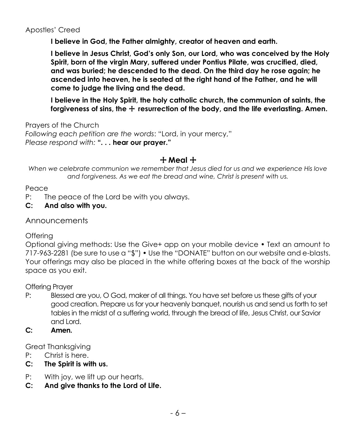Apostles' Creed

**I believe in God, the Father almighty, creator of heaven and earth.**

**I believe in Jesus Christ, God's only Son, our Lord, who was conceived by the Holy Spirit, born of the virgin Mary, suffered under Pontius Pilate, was crucified, died, and was buried; he descended to the dead. On the third day he rose again; he ascended into heaven, he is seated at the right hand of the Father, and he will come to judge the living and the dead.**

**I believe in the Holy Spirit, the holy catholic church, the communion of saints, the**  forgiveness of sins, the  $\pm$  resurrection of the body, and the life everlasting. Amen.

Prayers of the Church *Following each petition are the words*: "Lord, in your mercy," *Please respond with:* **". . . hear our prayer."**

#### + **Meal** +

*When we celebrate communion we remember that Jesus died for us and we experience His love and forgiveness. As we eat the bread and wine, Christ is present with us.*

Peace

- P: The peace of the Lord be with you always.
- **C: And also with you.**

Announcements

**Offering** 

Optional giving methods: Use the Give+ app on your mobile device • Text an amount to 717-963-2281 (be sure to use a "\$") • Use the "DONATE" button on our website and e-blasts. Your offerings may also be placed in the white offering boxes at the back of the worship space as you exit.

Offering Prayer

- P: Blessed are you, O God, maker of all things. You have set before us these gifts of your good creation. Prepare us for your heavenly banquet, nourish us and send us forth to set tables in the midst of a suffering world, through the bread of life, Jesus Christ, our Savior and Lord.
- **C: Amen.**

Great Thanksgiving

- P: Christ is here.
- **C: The Spirit is with us.**
- P: With joy, we lift up our hearts.
- **C: And give thanks to the Lord of Life.**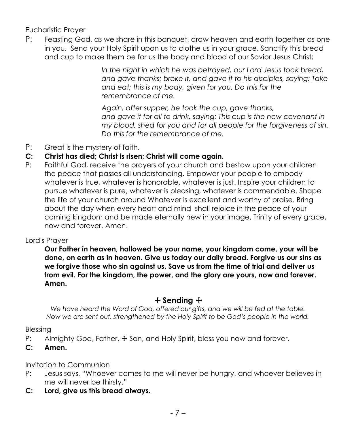Eucharistic Prayer

P: Feasting God, as we share in this banquet, draw heaven and earth together as one in you. Send your Holy Spirit upon us to clothe us in your grace. Sanctify this bread and cup to make them be for us the body and blood of our Savior Jesus Christ;

> *In the night in which he was betrayed, our Lord Jesus took bread, and gave thanks; broke it, and gave it to his disciples, saying: Take and eat; this is my body, given for you. Do this for the remembrance of me.*

> *Again, after supper, he took the cup, gave thanks, and gave it for all to drink, saying: This cup is the new covenant in my blood, shed for you and for all people for the forgiveness of sin. Do this for the remembrance of me.*

- P: Great is the mystery of faith.
- **C: Christ has died; Christ is risen; Christ will come again.**
- P:Faithful God, receive the prayers of your church and bestow upon your children the peace that passes all understanding. Empower your people to embody whatever is true, whatever is honorable, whatever is just. Inspire your children to pursue whatever is pure, whatever is pleasing, whatever is commendable. Shape the life of your church around Whatever is excellent and worthy of praise. Bring about the day when every heart and mind shall rejoice in the peace of your coming kingdom and be made eternally new in your image, Trinity of every grace, now and forever. Amen.

#### Lord's Prayer

**Our Father in heaven, hallowed be your name, your kingdom come, your will be done, on earth as in heaven. Give us today our daily bread. Forgive us our sins as we forgive those who sin against us. Save us from the time of trial and deliver us from evil. For the kingdom, the power, and the glory are yours, now and forever. Amen.**

#### + **Sending** +

*We have heard the Word of God, offered our gifts, and we will be fed at the table. Now we are sent out, strengthened by the Holy Spirit to be God's people in the world.*

Blessing

- P: Almighty God, Father, + Son, and Holy Spirit, bless you now and forever.
- **C: Amen.**

Invitation to Communion

- P: Jesus says, "Whoever comes to me will never be hungry, and whoever believes in me will never be thirsty."
- **C: Lord, give us this bread always.**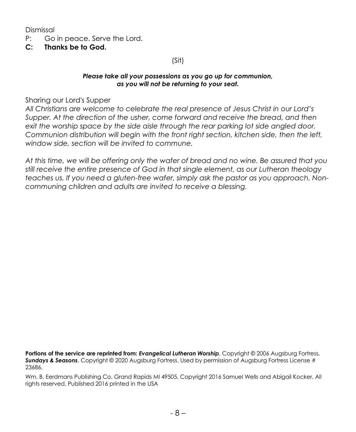Dismissal

- P: Go in peace. Serve the Lord.
- **C: Thanks be to God.**

(Sit)

#### *Please take all your possessions as you go up for communion, as you will not be returning to your seat.*

Sharing our Lord's Supper

*All Christians are welcome to celebrate the real presence of Jesus Christ in our Lord's Supper. At the direction of the usher, come forward and receive the bread, and then exit the worship space by the side aisle through the rear parking lot side angled door. Communion distribution will begin with the front right section, kitchen side, then the left, window side, section will be invited to commune.*

*At this time, we will be offering only the wafer of bread and no wine. Be assured that you still receive the entire presence of God in that single element, as our Lutheran theology teaches us. If you need a gluten-free wafer, simply ask the pastor as you approach. Noncommuning children and adults are invited to receive a blessing.*

**Portions of the service are reprinted from:** *Evangelical Lutheran Worship*, Copyright © 2006 Augsburg Fortress. *Sundays & Seasons*, Copyright © 2020 Augsburg Fortress. Used by permission of Augsburg Fortress License # 23686.

Wm. B. Eerdmans Publishing Co. Grand Rapids MI 49505. Copyright 2016 Samuel Wells and Abigail Kocker. All rights reserved. Published 2016 printed in the USA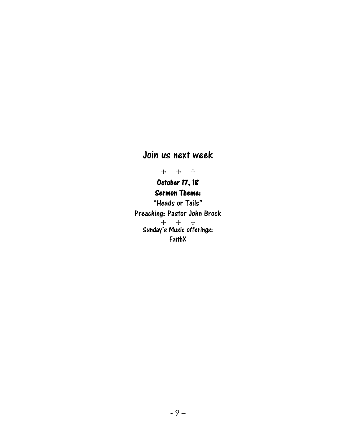### Join us next week

+ + +

#### October 17, 18 Sermon Theme:

"Heads or Tails" Preaching: Pastor John Brock + + + Sunday's Music offerings: FaithX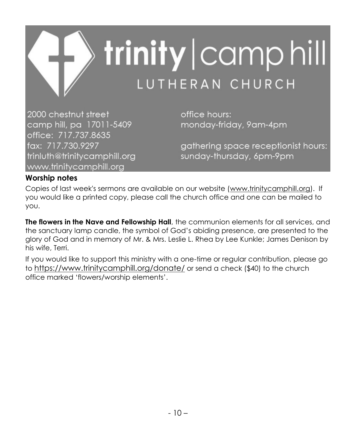

2000 chestnut street camp hill, pa 17011-5409 office: 717.737.8635 fax: 717.730.9297 trinluth@trinitycamphill.org www.trinitycamphill.org

office hours: monday-friday, 9am-4pm

gathering space receptionist hours: sunday-thursday, 6pm-9pm

#### **Worship notes**

Copies of last week's sermons are available on our website [\(www.trinitycamphill.org\)](http://www.trinitycamphill.org/). If you would like a printed copy, please call the church office and one can be mailed to you.

**The flowers in the Nave and Fellowship Hall**, the communion elements for all services, and the sanctuary lamp candle, the symbol of God's abiding presence, are presented to the glory of God and in memory of Mr. & Mrs. Leslie L. Rhea by Lee Kunkle; James Denison by his wife, Terri.

If you would like to support this ministry with a one-time or regular contribution, please go to <https://www.trinitycamphill.org/donate/> or send a check (\$40) to the church office marked 'flowers/worship elements'.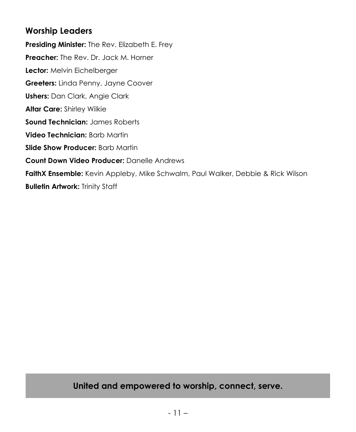#### **Worship Leaders**

**Presiding Minister:** The Rev. Elizabeth E. Frey **Preacher:** The Rev. Dr. Jack M. Horner **Lector:** Melvin Eichelberger **Greeters:** Linda Penny, Jayne Coover **Ushers:** Dan Clark, Angie Clark **Altar Care:** Shirley Wilkie **Sound Technician:** James Roberts **Video Technician:** Barb Martin **Slide Show Producer:** Barb Martin **Count Down Video Producer:** Danelle Andrews **FaithX Ensemble:** Kevin Appleby, Mike Schwalm, Paul Walker, Debbie & Rick Wilson **Bulletin Artwork: Trinity Staff** 

### **United and empowered to worship, connect, serve.**